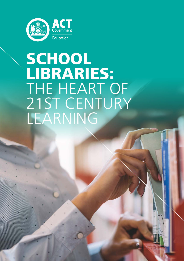

# **SCHOOL** LIBRARIES: THE HEART OF 21ST CENTURY LEARNING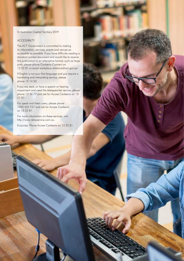#### © Australian Capital Territory 2019

#### **ACCESSIBILTY**

The ACT Government is committed to making its information, services, events and venues as accessible as possible. If you have difficulty reading a standard printed document and would like to receive this publication in an alternative format, such as large print, please phone Canberra Connect on 13 22 81 or email workplace.relations@act.gov.au

If English is not your first language and you require a translating and interpreting service, please phone 13 14 50.

If you are deaf, or have a speech or hearing impairment and need the teletypewriter service, please phone 13 36 77 and ask for Access Canberra on 13 22 81.

For speak and listen users, please phone 1300 555 727 and ask for Access Canberra on 13 22 81.

For more information on these services, visit http://www.relayservice.com.au.

Enquiries: Phone Access Canberra on 13 22 81.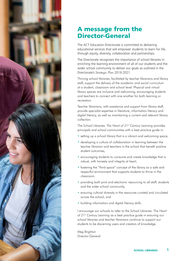

# A message from the Director-General

The ACT Education Directorate is committed to delivering educational services that will empower students to learn for life, through equity, diversity, collaboration and partnerships.

The Directorate recognises the importance of school libraries in enriching the learning environment of all of our students and the wider school community to deliver our goals as outlined in the Directorate's *Strategic Plan 2018-2021*.

Thriving school libraries, facilitated by teacher librarians and library staff, support the delivery of the academic and social curriculum at a student, classroom and school level. Physical and virtual library spaces are inclusive and welcoming, encouraging students and teachers to connect with one another for both learning or recreation.

Teacher librarians, with assistance and support from library staff, provide specialist expertise in literature, information literacy and digital literacy, as well as maintaining a current and relevant library collection.

The School Libraries: *The Heart of 21st Century Learning* provides principals and school communities with a best practice guide in:

- setting up a school library that is a vibrant and welcoming space,
- developing a culture of collaboration in learning between the teacher librarian and teachers in the school that benefit positive student outcomes,
- encouraging students to consume and create knowledge that is robust, with honesty and integrity at heart,
- fostering the "third space" concept of the library as a safe and respectful environment that supports students to thrive in the classroom,
- providing both print and electronic resourcing to all staff, students and the wider school community,
- ensuring cultural diversity in the resources curated and circulated across the school, and
- building information and digital literacy skills.

I encourage our schools to refer to the School Libraries: *The Heart of 21st Century Learning* as a best practice guide in ensuring our school libraries and teacher librarians continue to support our students to be discerning users and creators of knowledge.

Meg Brighton Director-General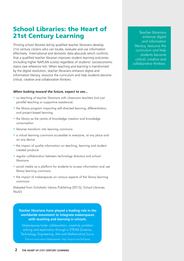# School Libraries: the Heart of 21st Century Learning

Thriving school libraries led by qualified teacher librarians develop 21st century citizens who can locate, evaluate and use information effectively. International and domestic data abounds which confirms that a qualified teacher librarian improves student learning outcomes (including higher NAPLAN scores) regardless of students' socioeconomic status (see reference list). When teaching and learning is transformed by the digital revolution, teacher librarians enhance digital and information literacy, resource the curriculum and help students become critical, creative and collaborative thinkers.

#### *When looking toward the future, expect to see...*

- co-teaching of teacher librarians with classroom teachers (not just parallel teaching or supportive assistance)
- the library program impacting self-directed learning, differentiation, and project-based learning
- the library as the centre of knowledge creation and knowledge consumption
- libraries transform into learning commons
- a virtual learning commons accessible to everyone, at any place and on any device
- the impact of quality information on teaching, learning and student created products
- regular collaboration between technology directors and school librarians
- social media as a platform for students to access information and use library learning commons
- the impact of makerspaces on various aspects of the library learning commons

(Adapted from Scholastic Library Publishing (2015), School Libraries Work!)

# **Teacher librarians have played a leading role in the worldwide movement to integrate makerspaces with teaching and learning in schools.**

Makerspaces foster collaboration, creativity, problem solving and exploration through a STEAM (Science, Technology, Engineering, Arts and Mathematics) focus. Find out more about Makerspaces: http://tinyurl.com/hd7gaqa

*Teacher librarians enhance digital and information literacy, resource the curriculum and help students become critical, creative and collaborative thinkers.*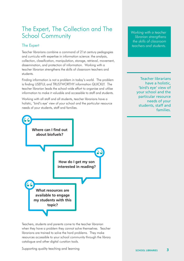# The Expert, The Collection and The School Community

# The Expert

Teacher librarians combine a command of 21st century pedagogies and curricula with expertise in information science: the analysis, collection, classification, manipulation, storage, retrieval, movement, dissemination, and protection of information. Working with a teacher librarian strengthens the skills of classroom teachers and students.

Finding information is not a problem in today's world. The problem is finding USEFUL and TRUSTWORTHY information QUICKLY. The teacher librarian leads the school-wide effort to organise and utilise information to make it valuable and accessible to staff and students.

Working with all staff and all students, teacher librarians have a holistic, 'bird's eye' view of your school and the particular resource needs of your students, staff and families.



Teachers, students and parents come to the teacher librarian when they have a problem they cannot solve themselves. Teacher librarians are trained to solve the hard problems. They make resources accessible to your school community through the library catalogue and other digital curation tools.

Supporting quality teaching and learning

*Working with a teacher librarian strengthens the skills of classroom teachers and students.*

> Teacher librarians have a holistic, 'bird's eye' view of your school and the particular resource needs of your students, staff and families.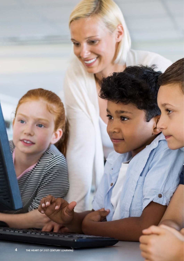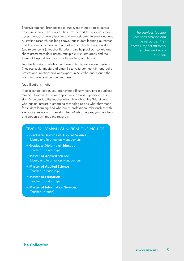Effective teacher librarians make quality teaching a reality across an entire school. The services they provide and the resources they access impact on every teacher and every student. International and Australian research has long shown that student learning outcomes and test scores increase with a qualified teacher librarian on staff (see reference list). Teacher librarians also help collect, collate and share assessment data across multiple curriculum areas and the General Capabilities to assist with teaching and learning.

Teacher librarians collaborate across schools, sectors and systems. They use social media and email listservs to connect with and build professional relationships with experts in Australia and around the world in a range of curriculum areas.

#### Qualifications matter

If, as a school leader, you are having difficulty recruiting a qualified teacher librarian, this is an opportunity to build capacity in your staff. Shoulder tap the teacher who thinks about the 'big picture', who has an interest in emerging technologies and what they mean for student learning, and who builds professional relationships with everybody. As soon as they start their Masters degree, your teachers and students will reap the rewards!

#### TEACHER LIBRARIAN QUALIFICATIONS INCLUDE:

- **• Graduate Diploma of Applied Science** (Library and Information Management)
- **• Graduate Diploma of Education** (Teacher Librarianship)
- **• Master of Applied Science** (Library and Information Management)
- **• Master of Applied Science** (Teacher Librarianship)
- **• Master of Education** (Teacher Librarianship)
- **• Master of Information Services** (Teacher Librarian)

*The services teacher librarians provide and the resources they access impact on every teacher and every student.*

# **The Collection**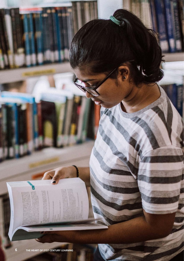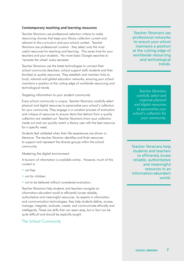# **Contemporary teaching and learning resources**

Teacher librarians use professional selection criteria to make resourcing choices that keep your library collection current and relevant to the curriculum and your school context. Teacher librarians are professional curators - they select only the most useful resources for teaching and learning. This saves time for your teachers and your students. No more basic Google searches to 'recreate the wheel' every semester.

Teacher librarians use the latest technologies to connect their school community (teachers, school support staff, students and their families) to quality resources. They establish and maintain links to local, national and global education networks, ensuring your school maintains a position at the cutting edge of worldwide resourcing and technological trends.

#### Targeting information to your student community

Every school community is unique. Teacher librarians carefully select physical and digital resources to personalise your school's collection for your community. They engage in a constant process of evaluation and critique of resources to ensure items that detract from a quality collection are weeded out. Teacher librarians know your collection inside out and can quickly match a library user with the best resource for a specific need.

Students feel validated when their life experiences are shown in literature. The teacher librarian identifies and finds resources to support and represent the diverse groups within the school community.

# Mastering the digital environment

A tsunami of information is available online. However, much of this content is:

- not free
- not for children
- not to be believed without considered evaluation.

Teacher librarians help students and teachers navigate an information-abundant world to efficiently locate reliable, authoritative and meaningful resources. As experts in information and communication technologies, they help students define, access, manage, integrate, evaluate, create, and communicate ethically and intelligently. These are skills that can seem easy, but in fact can be quite difficult and should be explicitly taught.

# The School Community

Teacher librarians use professional networks to ensure your school maintains a position at the cutting edge of worldwide resourcing and technological trends.

*Teacher librarians carefully select and organise physical and digital resources to personalise your school's collection for your community.*

Teacher librarians help students and teachers to efficiently locate reliable, authoritative and meaningful resources in an information-abundant world.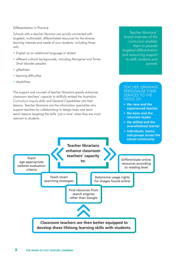# Differentiation in Practice

Schools with a teacher librarian are quickly connected with targeted, multimodal, differentiated resources for the diverse learning interests and needs of your students, including those with:

- English as an additional language or dialect
- different cultural backgrounds, including Aboriginal and Torres Strait Islander peoples
- giftedness
- learning difficulties
- disabilities

The support and counsel of teacher librarians greatly enhances classroom teachers' capacity to skillfully embed the Australian Curriculum inquiry skills and General Capabilities into their lessons. Teacher librarians are the information specialists who support teachers by collaborating to design tasks and team teach lessons targeting the skills 'just in time' when they are most relevant to students.

*Teacher librarians' broad overview of the curriculum enables them to provide targeted differentiation and resourcing support to staff, students and parents*

# TEACHER LIBRARIANS PERSONALISE THEIR SERVICES TO THE NEEDS OF:

- **• the new and the experienced teacher**
- **• the keen and the reluctant reader**
- **• the skilled and the overwhelmed learner**
- **• individuals, teams, and groups across the school community**

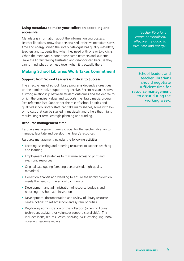# **Using metadata to make your collection appealing and accessible**

Metadata is information about the information you possess. Teacher librarians know that personalised, effective metadata saves time and energy. When the library catalogue has quality metadata, teachers and students find what they need with one or two clicks. When the metadata is poor, those same teachers and students leave the library feeling frustrated and disappointed because they cannot find what they need (even when it is actually there!)

# **Making School Libraries Work Takes Commitment**

# **Support from School Leaders is Critical to Success**

The effectiveness of school library programs depends a great deal on the administrative support they receive. Recent research shows a strong relationship between student outcomes and the degree to which the principal values and supports the library media program (see reference list). Support for the role of school libraries and qualified school library staff can take many shapes, some with low or no cost that can be started immediately and others that might require longer-term strategic planning and funding.

# **Resource management time**

Resource management time is crucial for the teacher Iibrarian to manage, facilitate and develop the library's resources.

Resource management includes the following activities:

- Locating, selecting and ordering resources to support teaching and learning
- Employment of strategies to maximize access to print and electronic resources
- Original cataloguing (creating personalised, high-quality metadata)
- Collection analysis and weeding to ensure the library collection meets the needs of the school community
- Development and administration of resource budgets and reporting to school administration
- Development, documentation and review of library resource centre policies to reflect school and system priorities
- Day-to-day administration of the collection (when no library technician, assistant, or volunteer support is available). This includes loans, returns, losses, shelving, SCIS cataloguing, book covering, resource repairs

*Teacher librarians create personalised, effective metadata to save time and energy.*

School leaders and teacher librarians should negotiate sufficient time for resource management to occur during the working week.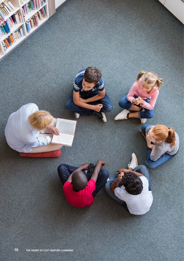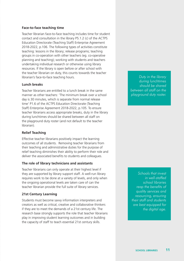# **Face-to-face teaching time**

Teacher librarian face-to-face teaching includes time for student contact and consultation in the library P5.1.2 (c) of the ACTPS Education Directorate (Teaching Staff) Enterprise Agreement 2018-2022, p.106. The following types of activities constitute teaching: lessons in the library; release programs; teaching groups in co-operation with other teachers (eg. co-operative planning and teaching); working with students and teachers undertaking individual research or otherwise using library resources. If the library is open before or after school with the teacher librarian on duty, this counts towards the teacher librarian's face-to-face teaching hours.

# **Lunch breaks**

Teacher librarians are entitled to a lunch break in the same manner as other teachers: 'The minimum break over a school day is 30 minutes, which is separate from normal release time' P1.6 of the ACTPS Education Directorate (Teaching Staff) Enterprise Agreement 2018-2022, p.105. To ensure teacher librarians access appropriate breaks, duty in the library during lunchtimes should be shared between all staff on the playground duty roster (and not default to the teacher librarian).

# **Relief Teaching**

Effective teacher librarians positively impact the learning outcomes of all students. Removing teacher librarians from their teaching and administrative duties for the purpose of relief teaching diminishes their ability to perform their role and deliver the associated benefits to students and colleagues.

# **The role of library technicians and assistants**

Teacher librarians can only operate at their highest level if they are supported by library support staff. A well-run library requires work to be done at a variety of levels, and only when the ongoing operational levels are taken care of can the teacher librarian provide the full suite of library services.

# **21st Century Learning**

Students must become savvy information interpreters and creators as well as critical, creative and collaborative thinkers if they are to meet the demands of a 21st century life. The research base strongly supports the role that teacher librarians play in improving student learning outcomes and in building the capacity of staff to teach essential 21st century skills.

*Duty in the library during lunchtimes should be shared between all staff on the playground duty roster.*

*Schools that invest in well-staffed school libraries reap the benefits of quality services and resourcing, ensuring their staff and students are best equipped for the digital age.*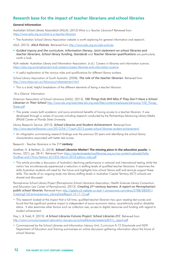# **Research base for the impact of teacher librarians and school libraries**

#### **General Information**

Australian School Library Association [ASLA]. (2012) *What is a Teacher Librarian?* Retrieved from https://www.asla.org.au/what-is-a-teacher-librarian

• The Australian School Library Association website is worth exploring for general information and research.

ASLA. (2012). *ASLA Policies*. Retrieved from http://www.asla.org.au/asla-policies

*• Guided inquiry and the curriculum*, *Information literacy*, *Joint statement on school libraries and teacher librarians*, *School library funding, Standards* and *Teacher librarian qualifications* are particularly worth a look.

ALIA website: Australian Library and Information Association. (n.d.). *Careers in libraries and information science*. https://alia.org.au/employment-and-careers/careers-libraries-and-information-science

• A useful explanation of the various roles and qualifications for different library workers.

School Library Association of South Australia. (2008). *The role of the teacher librarian*. Retrieved from http://www.slasa.asn.au/Advocacy/rolestatement.html

• This is a brief, helpful breakdown of the different elements of being a teacher librarian.

'At a Glance' Information

American Association of School Librarians [AASL]. (2013). *100 Things Kids Will Miss If They Don't Have a School Librarian in Their School* http://www.ala.org/aasl/sites/ala.org.aasl/files/content/aaslissues/advocacy/100\_Things\_ Poster.pdf

• This poster covers both academic and socio-emotional benefits of having access to a teacher librarian. It was developed through a variety of sources including research conducted by the Partnerships Advancing Library Media (PALM) Center at Florida State University.

Library Research Service. (2013). *School Libraries and Student Achievement*. Retrieved from http://www.teacherlibrarian.com/2013/04/17/april-2013-poster-school-libraries-student-achievement/

• An infographic summarising research findings over the previous 20 years and identifying the school library characteristics associated with better test scores.

Research - Teacher librarians in the 21**st century**

Godfree, H. & Neilson, O. (2018). **School Libraries Matter! The missing piece in the education puzzle.** In *Access, 32*(1), pp. 28-41. Retrieved from https://studentsneedschoollibraries.org.au/wp-content/uploads/Holly-Godfree-and-Olivia-Neilson-ACCESS-March-2018-editors-note.pdf

• This article provides a discussion of Australia's declining performance in national and international testing whilst the nation has simultaneously experienced a reduction in staffing levels of qualified teacher librarians. It examines the skills Australian students will need for the future and highlights how school library staff and services support these skills. The results of an ongoing study into library staffing levels in Australian Capital Territory (ACT) schools are shared and discussed.

Pennsylvania School Library Project [Pennsylvania School Librarians Association, Health Sciences Library Consortium and Education Law Center of Pennsylvania]. (2012). *Creating 21st-century learners: A report on Pennsylvania's public school libraries.* Retrieved from http://lgdata.s3-website-us-east-1.amazonaws.com/docs/2788/580001/ Creating21stCenturyLearners\_LibraryDataReport.10.17.12.pdf

• This research looked at the impact that a full time, qualified teacher librarian has upon reading test scores and found that the significant positive impact is independent of socio-economic status, race/ethnicity and/or disability status. It also examines other factors such as collection size, access to digital resources and funding with regard to student achievement.

Hay, L. & Todd, R. (2010). *A School Libraries Futures Project: School Libraries 21C*. Retrieved from http://www.curriculumsupport.education.nsw.gov.au/schoollibraries/assets/pdf/21c\_report.pdf

• Commissioned by the School Libraries and Information Literacy Unit, Curriculum K-12 Directorate and NSW Department of Education and Training summarises an online discussion gathering information about the future of school libraries.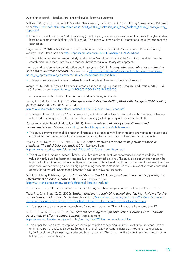Australian research – Teacher librarians and student learning outcomes

Softlink. (2019). 2018 The Softlink Australia, New Zealand, and Asia-Pacific School Library Survey Report. Retrieved from https://www.softlinkint.com/downloads/2018\_Softlink\_Australian\_and\_New\_Zealand\_School\_Library\_Survey\_ Report.pdf

• Now in its seventh year, this Australian survey (from last year) connects well-resourced libraries with higher student learning outcomes and higher NAPLAN scores. This aligns with the wealth of international data that supports this connection.

Hughes et al. (2013). School libraries, teacher-librarians and literacy at Gold Coast schools: Research findings. Synergy, 11(2). Retrieved from https://eprints.qut.edu.au/63170/1/Synergy-FINAL-2013.pdf

• This article summarises a research study conducted in Australian schools on the Gold Coast and explores the contribution that school libraries and teacher librarians make to literacy development.

House Standing Committee on Education and Employment. (2011). *Inquiry into school libraries and teacher librarians in Australian schools*. Retrieved from http://www.aph.gov.au/parliamentary\_business/committees/ house of representatives committees?url=ee/schoollibraries/report.htm

• This report summarises the recent federal inquiry into school libraries and teacher librarians.

Merga, M. K. (2019). How do librarians in schools support struggling readers?. English in Education, 53(2), 145– 160. Retrieved from https://doi.org/10.1080/04250494.2018.1558030

International research – Teacher librarians and student learning outcomes

Lance, K. C. & Hofschire, L. (2012). *Change in school librarian staffing liked with change in CSAP reading performance, 2005 to 2011*. Retrieved from http://www.lrs.org/documents/closer\_look/CO4\_2012\_Closer\_Look\_Report.pdf

• This report from Colorado, USA, examines changes in standardised test scores of students over time as they are influenced by changes in levels of school library staffing (including the qualifications of the staff).

Pennsylvania State Board of Education. (2011). *Pennsylvania school library study: Findings and*  recommendations. Retrieved from http://paschoollibraryproject.org/schlibresearch

• This study confirms that qualified teacher librarians are associated with higher reading and writing test scores and also that this positive impact is independent of demographic and economic differences among students.

Francis, B. H., Lance, K. C., & Lietzau, Z. (2010). *School librarians continue to help students achieve standards: The third Colorado study (2010)*. Retrieved from http://www.lrs.org/documents/closer\_look/CO3\_2010\_Closer\_Look\_Report.pdf

• This study of the impact of school libraries and librarians on student test performance provides evidence of the value of highly qualified librarians, especially at the primary school level. The study also documents not only the impact of school libraries and teacher librarians on how high or low students' test scores are, it also examines their impact on low-performing as well as high-performing students in standardised tests - relevant to those concerned about closing the achievement gap between 'have' and 'have not' students.

Scholastic Library Publishing. (2015). *School Libraries Work! A Compendium of Research Supporting the Effectiveness of School Libraries*, 2016 edition. Retrieved from http://www.scholastic.com.au/assets/pdfs/school-libraries-work.pdf

• This American publication summarises research findings of about ten years of school library-related research.

Todd, R. J. & Kuhlthau, C. C. (2005). *Student learning through Ohio school libraries, Part 1: How effective*  school libraries help students. Retrieved from https://www.researchgate.net/publication/265043672\_Student Learning Through Ohio School Libraries Part 1 How Effective School Libraries Help Students

• This paper gives a summary of research into 39 school libraries in Ohio with students from years 3 to 12.

Todd, R. J. and Kuhlthau, C. C. (2005). *Student Learning through Ohio School Libraries, Part 2: Faculty Perceptions of Effective School Libraries.* Retrieved from https://www.mindmeister.com/generic\_files/get\_file/356322?filetype=attachment\_file

• This paper focuses on the perceptions of school principals and teaching faculty in relation to the school library and the helps it provides to students. Set against a brief review of current literature, it examines data provided by 879 faculty in 39 elementary, middle and high schools of Ohio as part of the Student Learning through Ohio School Library research study.